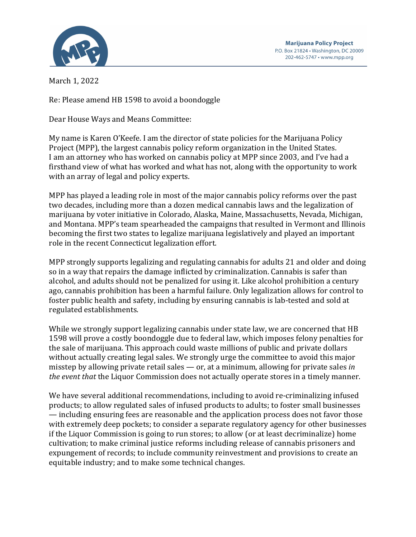

March 1, 2022

Re: Please amend HB 1598 to avoid a boondoggle

Dear House Ways and Means Committee:

My name is Karen O'Keefe. I am the director of state policies for the Marijuana Policy Project (MPP), the largest cannabis policy reform organization in the United States. I am an attorney who has worked on cannabis policy at MPP since 2003, and I've had a firsthand view of what has worked and what has not, along with the opportunity to work with an array of legal and policy experts.

MPP has played a leading role in most of the major cannabis policy reforms over the past two decades, including more than a dozen medical cannabis laws and the legalization of marijuana by voter initiative in Colorado, Alaska, Maine, Massachusetts, Nevada, Michigan, and Montana. MPP's team spearheaded the campaigns that resulted in Vermont and Illinois becoming the first two states to legalize marijuana legislatively and played an important role in the recent Connecticut legalization effort.

MPP strongly supports legalizing and regulating cannabis for adults 21 and older and doing so in a way that repairs the damage inflicted by criminalization. Cannabis is safer than alcohol, and adults should not be penalized for using it. Like alcohol prohibition a century ago, cannabis prohibition has been a harmful failure. Only legalization allows for control to foster public health and safety, including by ensuring cannabis is lab-tested and sold at regulated establishments.

While we strongly support legalizing cannabis under state law, we are concerned that HB 1598 will prove a costly boondoggle due to federal law, which imposes felony penalties for the sale of marijuana. This approach could waste millions of public and private dollars without actually creating legal sales. We strongly urge the committee to avoid this major misstep by allowing private retail sales  $-$  or, at a minimum, allowing for private sales *in the event that* the Liquor Commission does not actually operate stores in a timely manner.

We have several additional recommendations, including to avoid re-criminalizing infused products; to allow regulated sales of infused products to adults; to foster small businesses — including ensuring fees are reasonable and the application process does not favor those with extremely deep pockets; to consider a separate regulatory agency for other businesses if the Liquor Commission is going to run stores; to allow (or at least decriminalize) home cultivation; to make criminal justice reforms including release of cannabis prisoners and expungement of records; to include community reinvestment and provisions to create an equitable industry; and to make some technical changes.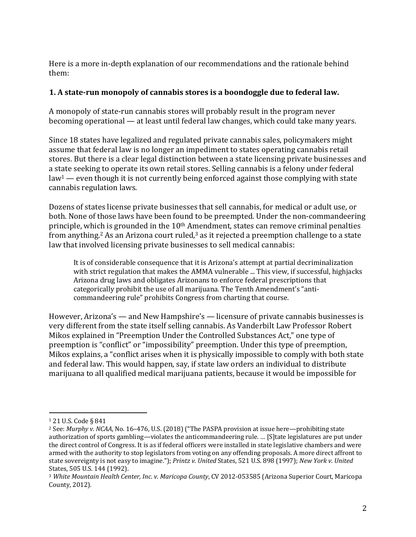Here is a more in-depth explanation of our recommendations and the rationale behind them:

### **1.** A state-run monopoly of cannabis stores is a boondoggle due to federal law.

A monopoly of state-run cannabis stores will probably result in the program never becoming operational  $-$  at least until federal law changes, which could take many years.

Since 18 states have legalized and regulated private cannabis sales, policymakers might assume that federal law is no longer an impediment to states operating cannabis retail stores. But there is a clear legal distinction between a state licensing private businesses and a state seeking to operate its own retail stores. Selling cannabis is a felony under federal  $law<sup>1</sup>$  — even though it is not currently being enforced against those complying with state cannabis regulation laws.

Dozens of states license private businesses that sell cannabis, for medical or adult use, or both. None of those laws have been found to be preempted. Under the non-commandeering principle, which is grounded in the  $10<sup>th</sup>$  Amendment, states can remove criminal penalties from anything.<sup>2</sup> As an Arizona court ruled,<sup>3</sup> as it rejected a preemption challenge to a state law that involved licensing private businesses to sell medical cannabis:

It is of considerable consequence that it is Arizona's attempt at partial decriminalization with strict regulation that makes the AMMA vulnerable ... This view, if successful, highjacks Arizona drug laws and obligates Arizonans to enforce federal prescriptions that categorically prohibit the use of all marijuana. The Tenth Amendment's "anticommandeering rule" prohibits Congress from charting that course.

However, Arizona's — and New Hampshire's — licensure of private cannabis businesses is very different from the state itself selling cannabis. As Vanderbilt Law Professor Robert Mikos explained in "Preemption Under the Controlled Substances Act," one type of preemption is "conflict" or "impossibility" preemption. Under this type of preemption, Mikos explains, a "conflict arises when it is physically impossible to comply with both state and federal law. This would happen, say, if state law orders an individual to distribute marijuana to all qualified medical marijuana patients, because it would be impossible for

<sup>&</sup>lt;sup>1</sup> 21 U.S. Code § 841

<sup>&</sup>lt;sup>2</sup> See: Murphy v. NCAA, No. 16-476, U.S. (2018) ("The PASPA provision at issue here—prohibiting state authorization of sports gambling—violates the anticommandeering rule. ... [S]tate legislatures are put under the direct control of Congress. It is as if federal officers were installed in state legislative chambers and were armed with the authority to stop legislators from voting on any offending proposals. A more direct affront to state sovereignty is not easy to imagine."); *Printz v. United* States, 521 U.S. 898 (1997); *New York v. United* States, 505 U.S. 144 (1992).

<sup>&</sup>lt;sup>3</sup> White Mountain Health Center, Inc. v. Maricopa County, CV 2012-053585 (Arizona Superior Court, Maricopa County, 2012).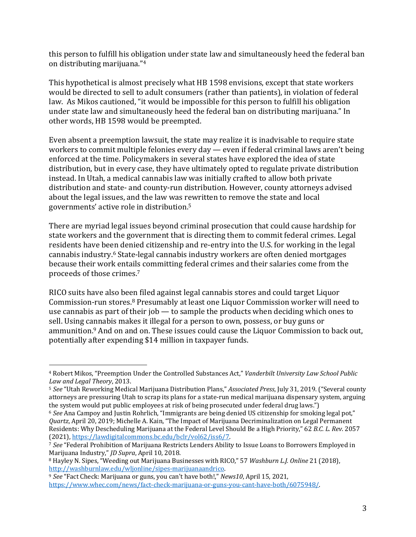this person to fulfill his obligation under state law and simultaneously heed the federal ban on distributing marijuana."<sup>4</sup>

This hypothetical is almost precisely what HB 1598 envisions, except that state workers would be directed to sell to adult consumers (rather than patients), in violation of federal law. As Mikos cautioned, "it would be impossible for this person to fulfill his obligation under state law and simultaneously heed the federal ban on distributing marijuana." In other words, HB 1598 would be preempted.

Even absent a preemption lawsuit, the state may realize it is inadvisable to require state workers to commit multiple felonies every day  $-$  even if federal criminal laws aren't being enforced at the time. Policymakers in several states have explored the idea of state distribution, but in every case, they have ultimately opted to regulate private distribution instead. In Utah, a medical cannabis law was initially crafted to allow both private distribution and state- and county-run distribution. However, county attorneys advised about the legal issues, and the law was rewritten to remove the state and local governments' active role in distribution.<sup>5</sup>

There are myriad legal issues beyond criminal prosecution that could cause hardship for state workers and the government that is directing them to commit federal crimes. Legal residents have been denied citizenship and re-entry into the U.S. for working in the legal cannabis industry.<sup>6</sup> State-legal cannabis industry workers are often denied mortgages because their work entails committing federal crimes and their salaries come from the proceeds of those crimes.<sup>7</sup>

RICO suits have also been filed against legal cannabis stores and could target Liquor Commission-run stores.<sup>8</sup> Presumably at least one Liquor Commission worker will need to use cannabis as part of their  $job - to$  sample the products when deciding which ones to sell. Using cannabis makes it illegal for a person to own, possess, or buy guns or ammunition.<sup>9</sup> And on and on. These issues could cause the Liquor Commission to back out, potentially after expending \$14 million in taxpayer funds.

<sup>&</sup>lt;sup>4</sup> Robert Mikos, "Preemption Under the Controlled Substances Act," *Vanderbilt University Law School Public Law and Legal Theory*, 2013.

<sup>&</sup>lt;sup>5</sup> See "Utah Reworking Medical Marijuana Distribution Plans," *Associated Press*, July 31, 2019. ("Several county attorneys are pressuring Utah to scrap its plans for a state-run medical marijuana dispensary system, arguing the system would put public employees at risk of being prosecuted under federal drug laws.")

<sup>&</sup>lt;sup>6</sup> See Ana Campoy and Justin Rohrlich, "Immigrants are being denied US citizenship for smoking legal pot," *Quartz*, April 20, 2019; Michelle A. Kain, "The Impact of Marijuana Decriminalization on Legal Permanent Residents: Why Descheduling Marijuana at the Federal Level Should Be a High Priority," 62 B.C. L. Rev. 2057 (2021), https://lawdigitalcommons.bc.edu/bclr/vol62/iss6/7.

<sup>&</sup>lt;sup>7</sup> See "Federal Prohibition of Marijuana Restricts Lenders Ability to Issue Loans to Borrowers Employed in Marijuana Industry," *ID Supra*, April 10, 2018.

<sup>&</sup>lt;sup>8</sup> Hayley N. Sipes, "Weeding out Marijuana Businesses with RICO," 57 *Washburn L.J. Online* 21 (2018), http://washburnlaw.edu/wljonline/sipes-marijuanaandrico.

<sup>&</sup>lt;sup>9</sup> See "Fact Check: Marijuana or guns, you can't have both!," *News10*, April 15, 2021, https://www.whec.com/news/fact-check-marijuana-or-guns-you-cant-have-both/6075948/.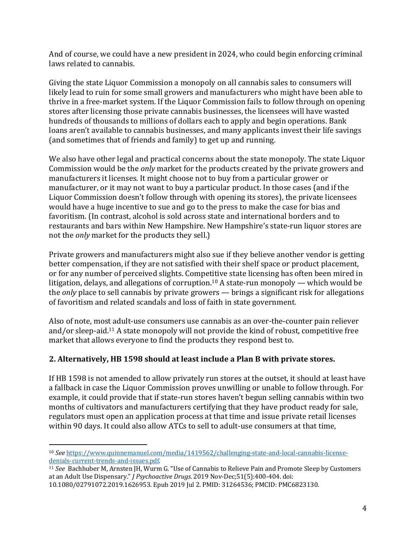And of course, we could have a new president in 2024, who could begin enforcing criminal laws related to cannabis.

Giving the state Liquor Commission a monopoly on all cannabis sales to consumers will likely lead to ruin for some small growers and manufacturers who might have been able to thrive in a free-market system. If the Liquor Commission fails to follow through on opening stores after licensing those private cannabis businesses, the licensees will have wasted hundreds of thousands to millions of dollars each to apply and begin operations. Bank loans aren't available to cannabis businesses, and many applicants invest their life savings (and sometimes that of friends and family) to get up and running.

We also have other legal and practical concerns about the state monopoly. The state Liquor Commission would be the *only* market for the products created by the private growers and manufacturers it licenses. It might choose not to buy from a particular grower or manufacturer, or it may not want to buy a particular product. In those cases (and if the Liquor Commission doesn't follow through with opening its stores), the private licensees would have a huge incentive to sue and go to the press to make the case for bias and favoritism. (In contrast, alcohol is sold across state and international borders and to restaurants and bars within New Hampshire. New Hampshire's state-run liquor stores are not the *only* market for the products they sell.)

Private growers and manufacturers might also sue if they believe another vendor is getting better compensation, if they are not satisfied with their shelf space or product placement, or for any number of perceived slights. Competitive state licensing has often been mired in litigation, delays, and allegations of corruption.<sup>10</sup> A state-run monopoly — which would be the *only* place to sell cannabis by private growers — brings a significant risk for allegations of favoritism and related scandals and loss of faith in state government.

Also of note, most adult-use consumers use cannabis as an over-the-counter pain reliever and/or sleep-aid.<sup>11</sup> A state monopoly will not provide the kind of robust, competitive free market that allows everyone to find the products they respond best to.

# **2. Alternatively, HB 1598 should at least include a Plan B with private stores.**

If HB 1598 is not amended to allow privately run stores at the outset, it should at least have a fallback in case the Liquor Commission proves unwilling or unable to follow through. For example, it could provide that if state-run stores haven't begun selling cannabis within two months of cultivators and manufacturers certifying that they have product ready for sale, regulators must open an application process at that time and issue private retail licenses within 90 days. It could also allow ATCs to sell to adult-use consumers at that time,

<sup>10</sup> *See* https://www.quinnemanuel.com/media/1419562/challenging-state-and-local-cannabis-licensedenials-current-trends-and-issues.pdf.

<sup>&</sup>lt;sup>11</sup> *See* Bachhuber M, Arnsten JH, Wurm G. "Use of Cannabis to Relieve Pain and Promote Sleep by Customers at an Adult Use Dispensary." *J Psychoactive Drugs*. 2019 Nov-Dec;51(5):400-404. doi: 10.1080/02791072.2019.1626953. Epub 2019 Jul 2. PMID: 31264536; PMCID: PMC6823130.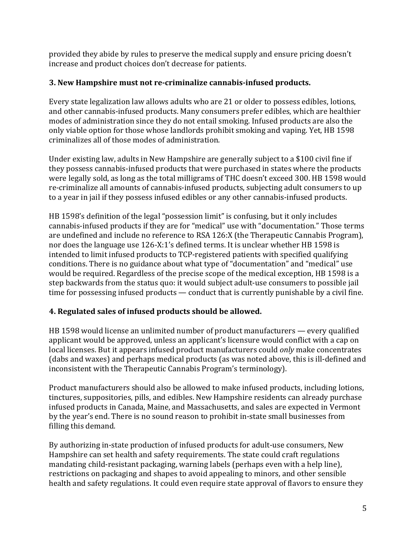provided they abide by rules to preserve the medical supply and ensure pricing doesn't increase and product choices don't decrease for patients.

### **3. New Hampshire must not re-criminalize cannabis-infused products.**

Every state legalization law allows adults who are 21 or older to possess edibles, lotions, and other cannabis-infused products. Many consumers prefer edibles, which are healthier modes of administration since they do not entail smoking. Infused products are also the only viable option for those whose landlords prohibit smoking and vaping. Yet, HB 1598 criminalizes all of those modes of administration.

Under existing law, adults in New Hampshire are generally subject to a \$100 civil fine if they possess cannabis-infused products that were purchased in states where the products were legally sold, as long as the total milligrams of THC doesn't exceed 300. HB 1598 would re-criminalize all amounts of cannabis-infused products, subjecting adult consumers to up to a year in jail if they possess infused edibles or any other cannabis-infused products.

HB 1598's definition of the legal "possession limit" is confusing, but it only includes cannabis-infused products if they are for "medical" use with "documentation." Those terms are undefined and include no reference to RSA 126:X (the Therapeutic Cannabis Program), nor does the language use 126-X:1's defined terms. It is unclear whether HB 1598 is intended to limit infused products to TCP-registered patients with specified qualifying conditions. There is no guidance about what type of "documentation" and "medical" use would be required. Regardless of the precise scope of the medical exception, HB 1598 is a step backwards from the status quo: it would subject adult-use consumers to possible jail time for possessing infused products  $-$  conduct that is currently punishable by a civil fine.

# **4. Regulated sales of infused products should be allowed.**

HB 1598 would license an unlimited number of product manufacturers — every qualified applicant would be approved, unless an applicant's licensure would conflict with a cap on local licenses. But it appears infused product manufacturers could *only* make concentrates (dabs and waxes) and perhaps medical products (as was noted above, this is ill-defined and inconsistent with the Therapeutic Cannabis Program's terminology).

Product manufacturers should also be allowed to make infused products, including lotions, tinctures, suppositories, pills, and edibles. New Hampshire residents can already purchase infused products in Canada, Maine, and Massachusetts, and sales are expected in Vermont by the year's end. There is no sound reason to prohibit in-state small businesses from filling this demand.

By authorizing in-state production of infused products for adult-use consumers, New Hampshire can set health and safety requirements. The state could craft regulations mandating child-resistant packaging, warning labels (perhaps even with a help line), restrictions on packaging and shapes to avoid appealing to minors, and other sensible health and safety regulations. It could even require state approval of flavors to ensure they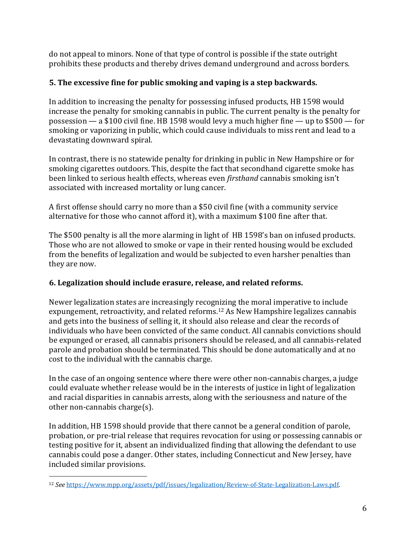do not appeal to minors. None of that type of control is possible if the state outright prohibits these products and thereby drives demand underground and across borders.

# **5. The excessive fine for public smoking and vaping is a step backwards.**

In addition to increasing the penalty for possessing infused products, HB 1598 would increase the penalty for smoking cannabis in public. The current penalty is the penalty for possession — a \$100 civil fine. HB 1598 would levy a much higher fine — up to  $$500 - for$ smoking or vaporizing in public, which could cause individuals to miss rent and lead to a devastating downward spiral.

In contrast, there is no statewide penalty for drinking in public in New Hampshire or for smoking cigarettes outdoors. This, despite the fact that secondhand cigarette smoke has been linked to serious health effects, whereas even *firsthand* cannabis smoking isn't associated with increased mortality or lung cancer.

A first offense should carry no more than a \$50 civil fine (with a community service alternative for those who cannot afford it), with a maximum \$100 fine after that.

The \$500 penalty is all the more alarming in light of HB 1598's ban on infused products. Those who are not allowed to smoke or vape in their rented housing would be excluded from the benefits of legalization and would be subjected to even harsher penalties than they are now.

### **6. Legalization should include erasure, release, and related reforms.**

Newer legalization states are increasingly recognizing the moral imperative to include expungement, retroactivity, and related reforms.<sup>12</sup> As New Hampshire legalizes cannabis and gets into the business of selling it, it should also release and clear the records of individuals who have been convicted of the same conduct. All cannabis convictions should be expunged or erased, all cannabis prisoners should be released, and all cannabis-related parole and probation should be terminated. This should be done automatically and at no cost to the individual with the cannabis charge.

In the case of an ongoing sentence where there were other non-cannabis charges, a judge could evaluate whether release would be in the interests of justice in light of legalization and racial disparities in cannabis arrests, along with the seriousness and nature of the other non-cannabis charge(s).

In addition, HB 1598 should provide that there cannot be a general condition of parole, probation, or pre-trial release that requires revocation for using or possessing cannabis or testing positive for it, absent an individualized finding that allowing the defendant to use cannabis could pose a danger. Other states, including Connecticut and New Jersey, have included similar provisions.

<sup>12</sup> *See* https://www.mpp.org/assets/pdf/issues/legalization/Review-of-State-Legalization-Laws.pdf.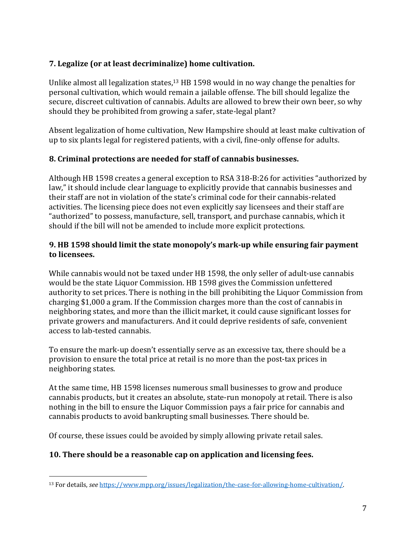# **7.** Legalize (or at least decriminalize) home cultivation.

Unlike almost all legalization states,<sup>13</sup> HB 1598 would in no way change the penalties for personal cultivation, which would remain a jailable offense. The bill should legalize the secure, discreet cultivation of cannabis. Adults are allowed to brew their own beer, so why should they be prohibited from growing a safer, state-legal plant?

Absent legalization of home cultivation, New Hampshire should at least make cultivation of up to six plants legal for registered patients, with a civil, fine-only offense for adults.

### **8. Criminal protections are needed for staff of cannabis businesses.**

Although HB 1598 creates a general exception to RSA 318-B:26 for activities "authorized by law," it should include clear language to explicitly provide that cannabis businesses and their staff are not in violation of the state's criminal code for their cannabis-related activities. The licensing piece does not even explicitly say licensees and their staff are "authorized" to possess, manufacture, sell, transport, and purchase cannabis, which it should if the bill will not be amended to include more explicit protections.

#### **9.** HB 1598 should limit the state monopoly's mark-up while ensuring fair payment **to licensees.**

While cannabis would not be taxed under HB 1598, the only seller of adult-use cannabis would be the state Liquor Commission. HB 1598 gives the Commission unfettered authority to set prices. There is nothing in the bill prohibiting the Liquor Commission from charging \$1,000 a gram. If the Commission charges more than the cost of cannabis in neighboring states, and more than the illicit market, it could cause significant losses for private growers and manufacturers. And it could deprive residents of safe, convenient access to lab-tested cannabis.

To ensure the mark-up doesn't essentially serve as an excessive tax, there should be a provision to ensure the total price at retail is no more than the post-tax prices in neighboring states.

At the same time, HB 1598 licenses numerous small businesses to grow and produce cannabis products, but it creates an absolute, state-run monopoly at retail. There is also nothing in the bill to ensure the Liquor Commission pays a fair price for cannabis and cannabis products to avoid bankrupting small businesses. There should be.

Of course, these issues could be avoided by simply allowing private retail sales.

# **10. There should be a reasonable cap on application and licensing fees.**

<sup>13</sup> For details, *see* https://www.mpp.org/issues/legalization/the-case-for-allowing-home-cultivation/.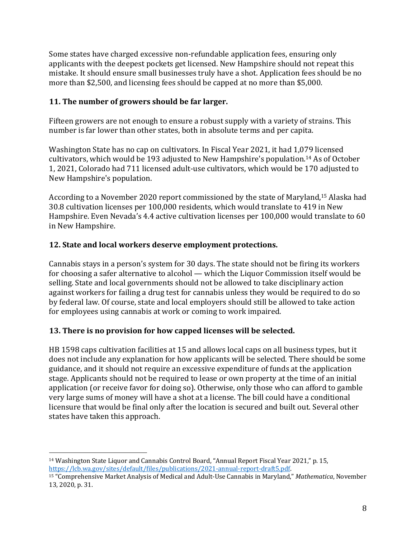Some states have charged excessive non-refundable application fees, ensuring only applicants with the deepest pockets get licensed. New Hampshire should not repeat this mistake. It should ensure small businesses truly have a shot. Application fees should be no more than \$2,500, and licensing fees should be capped at no more than \$5,000.

### **11.** The number of growers should be far larger.

Fifteen growers are not enough to ensure a robust supply with a variety of strains. This number is far lower than other states, both in absolute terms and per capita.

Washington State has no cap on cultivators. In Fiscal Year 2021, it had 1,079 licensed cultivators, which would be 193 adjusted to New Hampshire's population.<sup>14</sup> As of October 1, 2021, Colorado had 711 licensed adult-use cultivators, which would be 170 adjusted to New Hampshire's population.

According to a November 2020 report commissioned by the state of Maryland,<sup>15</sup> Alaska had 30.8 cultivation licenses per 100,000 residents, which would translate to 419 in New Hampshire. Even Nevada's 4.4 active cultivation licenses per 100,000 would translate to 60 in New Hampshire.

# **12. State and local workers deserve employment protections.**

Cannabis stays in a person's system for 30 days. The state should not be firing its workers for choosing a safer alternative to alcohol — which the Liquor Commission itself would be selling. State and local governments should not be allowed to take disciplinary action against workers for failing a drug test for cannabis unless they would be required to do so by federal law. Of course, state and local employers should still be allowed to take action for employees using cannabis at work or coming to work impaired.

# **13.** There is no provision for how capped licenses will be selected.

HB 1598 caps cultivation facilities at 15 and allows local caps on all business types, but it does not include any explanation for how applicants will be selected. There should be some guidance, and it should not require an excessive expenditure of funds at the application stage. Applicants should not be required to lease or own property at the time of an initial application (or receive favor for doing so). Otherwise, only those who can afford to gamble very large sums of money will have a shot at a license. The bill could have a conditional licensure that would be final only after the location is secured and built out. Several other states have taken this approach.

 $14$  Washington State Liquor and Cannabis Control Board, "Annual Report Fiscal Year 2021," p. 15, https://lcb.wa.gov/sites/default/files/publications/2021-annual-report-draft5.pdf.

<sup>&</sup>lt;sup>15</sup> "Comprehensive Market Analysis of Medical and Adult-Use Cannabis in Maryland," *Mathematica*, November 13, 2020, p. 31.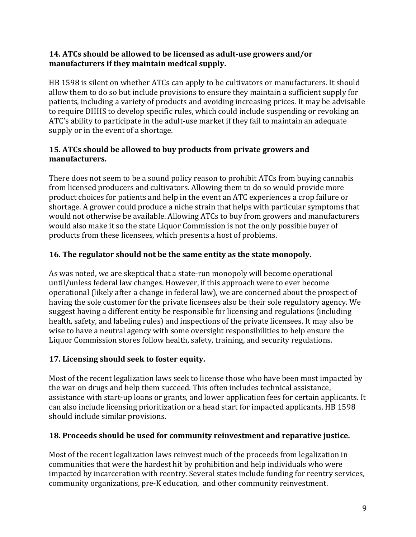#### **14.** ATCs should be allowed to be licensed as adult-use growers and/or manufacturers if they maintain medical supply.

HB 1598 is silent on whether ATCs can apply to be cultivators or manufacturers. It should allow them to do so but include provisions to ensure they maintain a sufficient supply for patients, including a variety of products and avoiding increasing prices. It may be advisable to require DHHS to develop specific rules, which could include suspending or revoking an ATC's ability to participate in the adult-use market if they fail to maintain an adequate supply or in the event of a shortage.

### **15. ATCs should be allowed to buy products from private growers and manufacturers.**

There does not seem to be a sound policy reason to prohibit ATCs from buying cannabis from licensed producers and cultivators. Allowing them to do so would provide more product choices for patients and help in the event an ATC experiences a crop failure or shortage. A grower could produce a niche strain that helps with particular symptoms that would not otherwise be available. Allowing ATCs to buy from growers and manufacturers would also make it so the state Liquor Commission is not the only possible buyer of products from these licensees, which presents a host of problems.

# **16. The regulator should not be the same entity as the state monopoly.**

As was noted, we are skeptical that a state-run monopoly will become operational until/unless federal law changes. However, if this approach were to ever become operational (likely after a change in federal law), we are concerned about the prospect of having the sole customer for the private licensees also be their sole regulatory agency. We suggest having a different entity be responsible for licensing and regulations (including health, safety, and labeling rules) and inspections of the private licensees. It may also be wise to have a neutral agency with some oversight responsibilities to help ensure the Liquor Commission stores follow health, safety, training, and security regulations.

# **17. Licensing should seek to foster equity.**

Most of the recent legalization laws seek to license those who have been most impacted by the war on drugs and help them succeed. This often includes technical assistance, assistance with start-up loans or grants, and lower application fees for certain applicants. It can also include licensing prioritization or a head start for impacted applicants. HB 1598 should include similar provisions.

### **18. Proceeds should be used for community reinvestment and reparative justice.**

Most of the recent legalization laws reinvest much of the proceeds from legalization in communities that were the hardest hit by prohibition and help individuals who were impacted by incarceration with reentry. Several states include funding for reentry services, community organizations, pre-K education, and other community reinvestment.